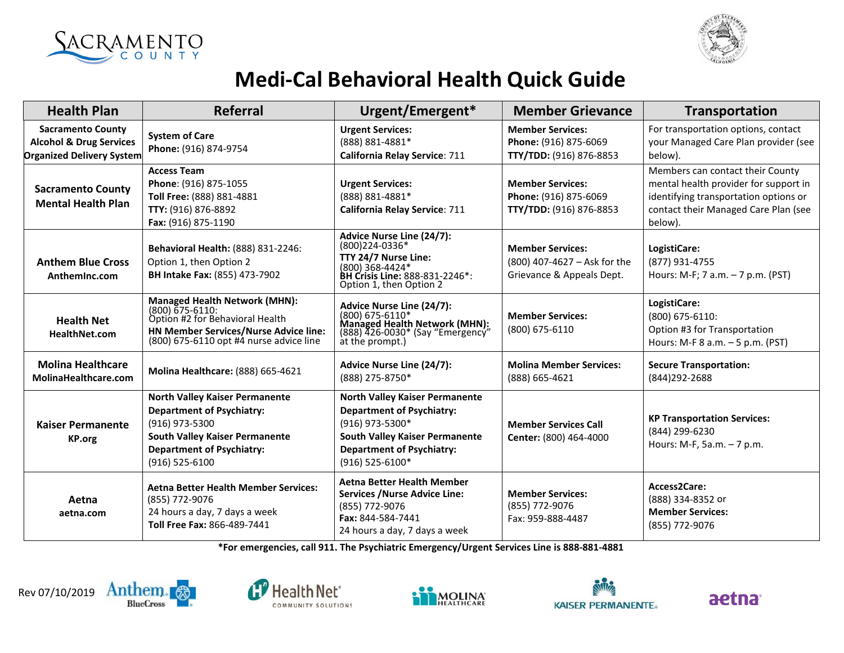



## **Medi-Cal Behavioral Health Quick Guide**

| <b>Health Plan</b>                                                                                 | <b>Referral</b>                                                                                                                                                                                | Urgent/Emergent*                                                                                                                                                                             | <b>Member Grievance</b>                                                              | <b>Transportation</b>                                                                                                                                                 |
|----------------------------------------------------------------------------------------------------|------------------------------------------------------------------------------------------------------------------------------------------------------------------------------------------------|----------------------------------------------------------------------------------------------------------------------------------------------------------------------------------------------|--------------------------------------------------------------------------------------|-----------------------------------------------------------------------------------------------------------------------------------------------------------------------|
| <b>Sacramento County</b><br><b>Alcohol &amp; Drug Services</b><br><b>Organized Delivery System</b> | <b>System of Care</b><br>Phone: (916) 874-9754                                                                                                                                                 | <b>Urgent Services:</b><br>(888) 881-4881*<br>California Relay Service: 711                                                                                                                  | <b>Member Services:</b><br>Phone: (916) 875-6069<br>TTY/TDD: (916) 876-8853          | For transportation options, contact<br>your Managed Care Plan provider (see<br>below).                                                                                |
| <b>Sacramento County</b><br><b>Mental Health Plan</b>                                              | <b>Access Team</b><br>Phone: (916) 875-1055<br>Toll Free: (888) 881-4881<br>TTY: (916) 876-8892<br>Fax: (916) 875-1190                                                                         | <b>Urgent Services:</b><br>(888) 881-4881*<br><b>California Relay Service: 711</b>                                                                                                           | <b>Member Services:</b><br>Phone: (916) 875-6069<br>TTY/TDD: (916) 876-8853          | Members can contact their County<br>mental health provider for support in<br>identifying transportation options or<br>contact their Managed Care Plan (see<br>below). |
| <b>Anthem Blue Cross</b><br>AnthemInc.com                                                          | <b>Behavioral Health: (888) 831-2246:</b><br>Option 1, then Option 2<br><b>BH Intake Fax: (855) 473-7902</b>                                                                                   | Advice Nurse Line (24/7):<br>(800)224-0336*<br>TTY 24/7 Nurse Line:<br>(800) 368-4424*<br>BH Crisis Line: 888-831-2246*:<br>Option 1, then Option 2                                          | <b>Member Services:</b><br>(800) 407-4627 - Ask for the<br>Grievance & Appeals Dept. | LogistiCare:<br>(877) 931-4755<br>Hours: M-F; 7 a.m. - 7 p.m. (PST)                                                                                                   |
| <b>Health Net</b><br><b>HealthNet.com</b>                                                          | <b>Managed Health Network (MHN):</b><br>(800) 675-6110:<br>Option #2 for Behavioral Health<br>HN Member Services/Nurse Advice line:<br>(800) 675-6110 opt #4 nurse advice line                 | <b>Advice Nurse Line (24/7):</b><br>(800) 675-6110*<br>Managed Health Network (MHN):<br>(888) 426-0030* (Say "Emergency"<br>at the prompt.)                                                  | <b>Member Services:</b><br>(800) 675-6110                                            | LogistiCare:<br>$(800)$ 675-6110:<br>Option #3 for Transportation<br>Hours: M-F 8 a.m. - 5 p.m. (PST)                                                                 |
| <b>Molina Healthcare</b><br>MolinaHealthcare.com                                                   | <b>Molina Healthcare: (888) 665-4621</b>                                                                                                                                                       | Advice Nurse Line (24/7):<br>(888) 275-8750*                                                                                                                                                 | <b>Molina Member Services:</b><br>(888) 665-4621                                     | <b>Secure Transportation:</b><br>(844) 292-2688                                                                                                                       |
| <b>Kaiser Permanente</b><br><b>KP.org</b>                                                          | <b>North Valley Kaiser Permanente</b><br><b>Department of Psychiatry:</b><br>(916) 973-5300<br><b>South Valley Kaiser Permanente</b><br><b>Department of Psychiatry:</b><br>$(916) 525 - 6100$ | <b>North Valley Kaiser Permanente</b><br><b>Department of Psychiatry:</b><br>(916) 973-5300*<br><b>South Valley Kaiser Permanente</b><br><b>Department of Psychiatry:</b><br>(916) 525-6100* | <b>Member Services Call</b><br>Center: (800) 464-4000                                | <b>KP Transportation Services:</b><br>(844) 299-6230<br>Hours: M-F, 5a.m. - 7 p.m.                                                                                    |
| Aetna<br>aetna.com                                                                                 | <b>Aetna Better Health Member Services:</b><br>(855) 772-9076<br>24 hours a day, 7 days a week<br>Toll Free Fax: 866-489-7441                                                                  | <b>Aetna Better Health Member</b><br><b>Services / Nurse Advice Line:</b><br>(855) 772-9076<br>Fax: 844-584-7441<br>24 hours a day, 7 days a week                                            | <b>Member Services:</b><br>(855) 772-9076<br>Fax: 959-888-4487                       | Access2Care:<br>(888) 334-8352 or<br><b>Member Services:</b><br>(855) 772-9076                                                                                        |

**\*For emergencies, call 911. The Psychiatric Emergency/Urgent Services Line is 888-881-4881**